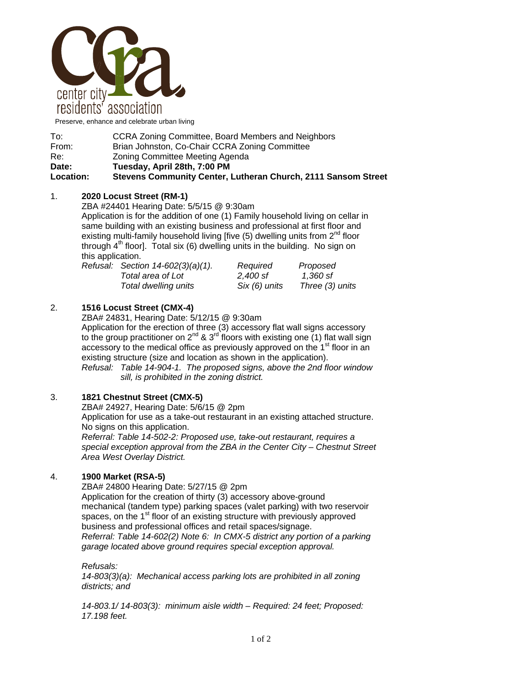

Preserve, enhance and celebrate urban living

| To:              | CCRA Zoning Committee, Board Members and Neighbors            |  |
|------------------|---------------------------------------------------------------|--|
| From:            | Brian Johnston, Co-Chair CCRA Zoning Committee                |  |
| Re:              | Zoning Committee Meeting Agenda                               |  |
| Date:            | Tuesday, April 28th, 7:00 PM                                  |  |
| <b>Location:</b> | Stevens Community Center, Lutheran Church, 2111 Sansom Street |  |
|                  |                                                               |  |

### 1. **2020 Locust Street (RM-1)**

ZBA #24401 Hearing Date: 5/5/15 @ 9:30am

Application is for the addition of one (1) Family household living on cellar in same building with an existing business and professional at first floor and existing multi-family household living [five  $(5)$  dwelling units from  $2^{nd}$  floor through  $4<sup>th</sup>$  floor]. Total six (6) dwelling units in the building. No sign on this application.

| Refusal: Section 14-602(3)(a)(1). | Required      | Proposed        |
|-----------------------------------|---------------|-----------------|
| Total area of Lot                 | 2.400 sf      | 1.360 sf        |
| Total dwelling units              | Six (6) units | Three (3) units |

### 2. **1516 Locust Street (CMX-4)**

ZBA# 24831, Hearing Date: 5/12/15 @ 9:30am

Application for the erection of three (3) accessory flat wall signs accessory to the group practitioner on  $2^{nd}$  &  $3^{rd}$  floors with existing one (1) flat wall sign accessory to the medical office as previously approved on the  $1<sup>st</sup>$  floor in an existing structure (size and location as shown in the application). *Refusal: Table 14-904-1. The proposed signs, above the 2nd floor window* 

*sill, is prohibited in the zoning district.* 

### 3. **1821 Chestnut Street (CMX-5)**

 ZBA# 24927, Hearing Date: 5/6/15 @ 2pm Application for use as a take-out restaurant in an existing attached structure. No signs on this application. *Referral: Table 14-502-2: Proposed use, take-out restaurant, requires a special exception approval from the ZBA in the Center City – Chestnut Street Area West Overlay District.* 

### 4. **1900 Market (RSA-5)**

ZBA# 24800 Hearing Date: 5/27/15 @ 2pm Application for the creation of thirty (3) accessory above-ground mechanical (tandem type) parking spaces (valet parking) with two reservoir spaces, on the 1<sup>st</sup> floor of an existing structure with previously approved business and professional offices and retail spaces/signage. *Referral: Table 14-602(2) Note 6: In CMX-5 district any portion of a parking garage located above ground requires special exception approval.* 

*Refusals: 14-803(3)(a): Mechanical access parking lots are prohibited in all zoning districts; and* 

*14-803.1/ 14-803(3): minimum aisle width – Required: 24 feet; Proposed: 17.198 feet.*